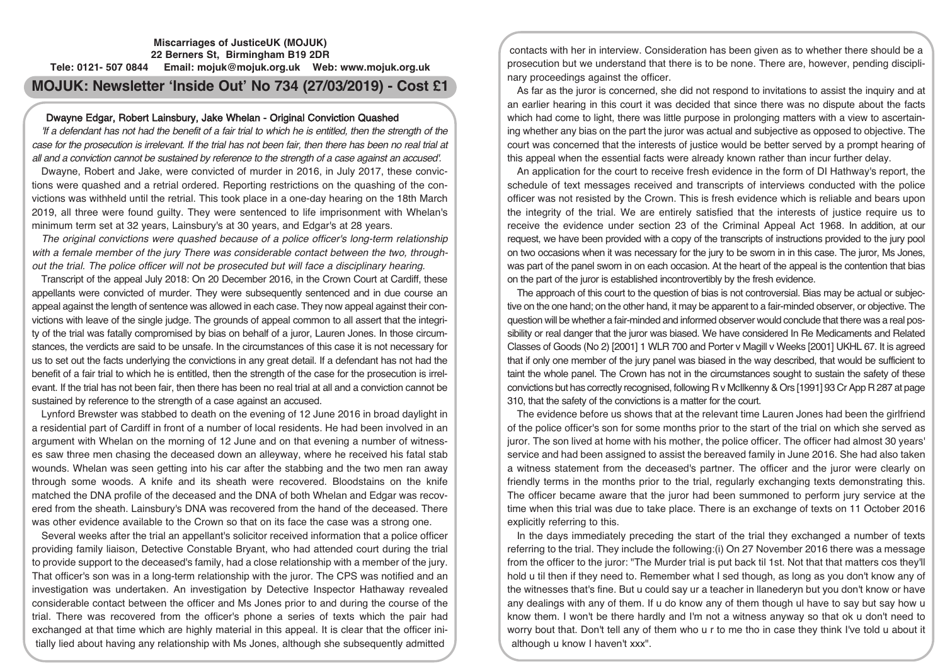# **Miscarriages of JusticeUK (MOJUK) 22 Berners St, Birmingham B19 2DR Tele: 0121- 507 0844 Email: mojuk@mojuk.org.uk Web: www.mojuk.org.uk MOJUK: Newsletter 'Inside Out' No 734 (27/03/2019) - Cost £1**

## Dwayne Edgar, Robert Lainsbury, Jake Whelan - Original Conviction Quashed

'If <sup>a</sup> defendant has not had the benefit of <sup>a</sup> fair trial to which he is entitled, then the strength of the case for the prosecution is irrelevant. If the trial has not been fair, then there has been no real trial at all and <sup>a</sup> conviction cannot be sustained by reference to the strength of <sup>a</sup> case against an accused'.

Dwayne, Robert and Jake, were convicted of murder in 2016, in July 2017, these convictions were quashed and a retrial ordered. Reporting restrictions on the quashing of the convictions was withheld until the retrial. This took place in a one-day hearing on the 18th March 2019, all three were found guilty. They were sentenced to life imprisonment with Whelan's minimum term set at 32 years, Lainsbury's at 30 years, and Edgar's at 28 years.

The original convictions were quashed because of <sup>a</sup> police officer's long-term relationship with <sup>a</sup> female member of the jury There was considerable contact between the two, throughout the trial. The police officer will not be prosecuted but will face <sup>a</sup> disciplinary hearing.

Transcript of the appeal July 2018: On 20 December 2016, in the Crown Court at Cardiff, these appellants were convicted of murder. They were subsequently sentenced and in due course an appeal against the length of sentence was allowed in each case. They now appeal against their convictions with leave of the single judge. The grounds of appeal common to all assert that the integrity of the trial was fatally compromised by bias on behalf of a juror, Lauren Jones. In those circumstances, the verdicts are said to be unsafe. In the circumstances of this case it is not necessary for us to set out the facts underlying the convictions in any great detail. If a defendant has not had the benefit of a fair trial to which he is entitled, then the strength of the case for the prosecution is irrelevant. If the trial has not been fair, then there has been no real trial at all and a conviction cannot be sustained by reference to the strength of a case against an accused.

Lynford Brewster was stabbed to death on the evening of 12 June 2016 in broad daylight in a residential part of Cardiff in front of a number of local residents. He had been involved in an argument with Whelan on the morning of 12 June and on that evening a number of witnesses saw three men chasing the deceased down an alleyway, where he received his fatal stab wounds. Whelan was seen getting into his car after the stabbing and the two men ran away through some woods. A knife and its sheath were recovered. Bloodstains on the knife matched the DNA profile of the deceased and the DNA of both Whelan and Edgar was recovered from the sheath. Lainsbury's DNA was recovered from the hand of the deceased. There was other evidence available to the Crown so that on its face the case was a strong one.

Several weeks after the trial an appellant's solicitor received information that a police officer providing family liaison, Detective Constable Bryant, who had attended court during the trial to provide support to the deceased's family, had a close relationship with a member of the jury. That officer's son was in a long-term relationship with the juror. The CPS was notified and an investigation was undertaken. An investigation by Detective Inspector Hathaway revealed considerable contact between the officer and Ms Jones prior to and during the course of the trial. There was recovered from the officer's phone a series of texts which the pair had exchanged at that time which are highly material in this appeal. It is clear that the officer initially lied about having any relationship with Ms Jones, although she subsequently admitted

contacts with her in interview. Consideration has been given as to whether there should be a prosecution but we understand that there is to be none. There are, however, pending disciplinary proceedings against the officer.

As far as the juror is concerned, she did not respond to invitations to assist the inquiry and at an earlier hearing in this court it was decided that since there was no dispute about the facts which had come to light, there was little purpose in prolonging matters with a view to ascertaining whether any bias on the part the juror was actual and subjective as opposed to objective. The court was concerned that the interests of justice would be better served by a prompt hearing of this appeal when the essential facts were already known rather than incur further delay.

An application for the court to receive fresh evidence in the form of DI Hathway's report, the schedule of text messages received and transcripts of interviews conducted with the police officer was not resisted by the Crown. This is fresh evidence which is reliable and bears upon the integrity of the trial. We are entirely satisfied that the interests of justice require us to receive the evidence under section 23 of the Criminal Appeal Act 1968. In addition, at our request, we have been provided with a copy of the transcripts of instructions provided to the jury pool on two occasions when it was necessary for the jury to be sworn in in this case. The juror, Ms Jones, was part of the panel sworn in on each occasion. At the heart of the appeal is the contention that bias on the part of the juror is established incontrovertibly by the fresh evidence.

The approach of this court to the question of bias is not controversial. Bias may be actual or subjective on the one hand; on the other hand, it may be apparent to a fair-minded observer, or objective. The question will be whether a fair-minded and informed observer would conclude that there was a real possibility or real danger that the juror was biased. We have considered In Re Medicaments and Related Classes of Goods (No 2) [2001] 1 WLR 700 and Porter v Magill v Weeks [2001] UKHL 67. It is agreed that if only one member of the jury panel was biased in the way described, that would be sufficient to taint the whole panel. The Crown has not in the circumstances sought to sustain the safety of these convictions but has correctly recognised, following R v McIlkenny& Ors [1991] 93 CrApp R 287 at page 310, that the safety of the convictions is a matter for the court.

The evidence before us shows that at the relevant time Lauren Jones had been the girlfriend of the police officer's son for some months prior to the start of the trial on which she served as juror. The son lived at home with his mother, the police officer. The officer had almost 30 years' service and had been assigned to assist the bereaved family in June 2016. She had also taken a witness statement from the deceased's partner. The officer and the juror were clearly on friendly terms in the months prior to the trial, regularly exchanging texts demonstrating this. The officer became aware that the juror had been summoned to perform jury service at the time when this trial was due to take place. There is an exchange of texts on 11 October 2016 explicitly referring to this.

In the days immediately preceding the start of the trial they exchanged a number of texts referring to the trial. They include the following:(i) On 27 November 2016 there was a message from the officer to the juror: "The Murder trial is put back til 1st. Not that that matters cos they'll hold u til then if they need to. Remember what I sed though, as long as you don't know any of the witnesses that's fine. But u could say ur a teacher in llanederyn but you don't know or have any dealings with any of them. If u do know any of them though ul have to say but say how u know them. I won't be there hardly and I'm not a witness anyway so that ok u don't need to worry bout that. Don't tell any of them who u r to me tho in case they think I've told u about it although u know I haven't xxx".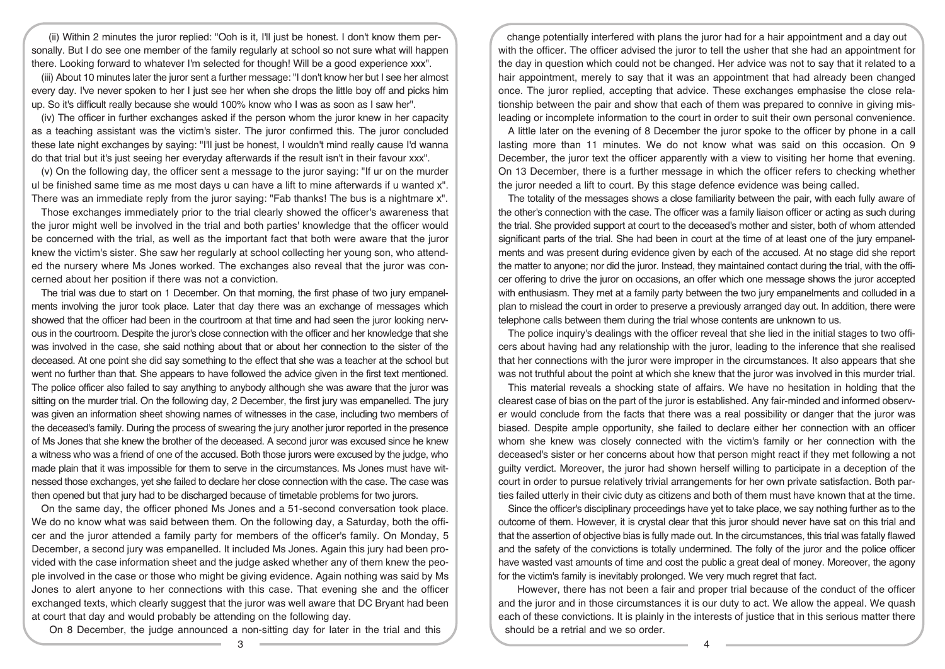(ii) Within 2 minutes the juror replied: "Ooh is it, I'll just be honest. I don't know them personally. But I do see one member of the family regularly at school so not sure what will happen there. Looking forward to whatever I'm selected for though! Will be a good experience xxx".

(iii) About 10 minutes later the juror sent a further message: "I don't know her but I see her almost every day. I've never spoken to her I just see her when she drops the little boy off and picks him up. So it's difficult really because she would 100% know who I was as soon as I saw her".

(iv) The officer in further exchanges asked if the person whom the juror knew in her capacity as a teaching assistant was the victim's sister. The juror confirmed this. The juror concluded these late night exchanges by saying: "I'll just be honest, I wouldn't mind really cause I'd wanna do that trial but it's just seeing her everyday afterwards if the result isn't in their favour xxx".

(v) On the following day, the officer sent a message to the juror saying: "If ur on the murder ul be finished same time as me most days u can have a lift to mine afterwards if u wanted x". There was an immediate reply from the juror saying: "Fab thanks! The bus is a nightmare x".

Those exchanges immediately prior to the trial clearly showed the officer's awareness that the juror might well be involved in the trial and both parties' knowledge that the officer would be concerned with the trial, as well as the important fact that both were aware that the juror knew the victim's sister. She saw her regularly at school collecting her young son, who attended the nursery where Ms Jones worked. The exchanges also reveal that the juror was concerned about her position if there was not a conviction.

The trial was due to start on 1 December. On that morning, the first phase of two jury empanelments involving the juror took place. Later that day there was an exchange of messages which showed that the officer had been in the courtroom at that time and had seen the juror looking nervous in the courtroom. Despite the juror's close connection with the officer and her knowledge that she was involved in the case, she said nothing about that or about her connection to the sister of the deceased. At one point she did say something to the effect that she was a teacher at the school but went no further than that. She appears to have followed the advice given in the first text mentioned. The police officer also failed to say anything to anybody although she was aware that the juror was sitting on the murder trial. On the following day, 2 December, the first jury was empanelled. The jury was given an information sheet showing names of witnesses in the case, including two members of the deceased's family. During the process of swearing the jury another juror reported in the presence of Ms Jones that she knew the brother of the deceased. A second juror was excused since he knew a witness who was a friend of one of the accused. Both those jurors were excused by the judge, who made plain that it was impossible for them to serve in the circumstances. Ms Jones must have witnessed those exchanges, yet she failed to declare her close connection with the case. The case was then opened but that jury had to be discharged because of timetable problems for two jurors.

On the same day, the officer phoned Ms Jones and a 51-second conversation took place. We do no know what was said between them. On the following day, a Saturday, both the officer and the juror attended a family party for members of the officer's family. On Monday, 5 December, a second jury was empanelled. It included Ms Jones. Again this jury had been provided with the case information sheet and the judge asked whether any of them knew the people involved in the case or those who might be giving evidence. Again nothing was said by Ms Jones to alert anyone to her connections with this case. That evening she and the officer exchanged texts, which clearly suggest that the juror was well aware that DC Bryant had been at court that day and would probably be attending on the following day.

On 8 December, the judge announced a non-sitting day for later in the trial and this

change potentially interfered with plans the juror had for a hair appointment and a day out with the officer. The officer advised the juror to tell the usher that she had an appointment for the day in question which could not be changed. Her advice was not to say that it related to a hair appointment, merely to say that it was an appointment that had already been changed once. The juror replied, accepting that advice. These exchanges emphasise the close relationship between the pair and show that each of them was prepared to connive in giving misleading or incomplete information to the court in order to suit their own personal convenience.

A little later on the evening of 8 December the juror spoke to the officer by phone in a call lasting more than 11 minutes. We do not know what was said on this occasion. On 9 December, the juror text the officer apparently with a view to visiting her home that evening. On 13 December, there is a further message in which the officer refers to checking whether the juror needed a lift to court. By this stage defence evidence was being called.

The totality of the messages shows a close familiarity between the pair, with each fully aware of the other's connection with the case. The officer was a family liaison officer or acting as such during the trial. She provided support at court to the deceased's mother and sister, both of whom attended significant parts of the trial. She had been in court at the time of at least one of the jury empanelments and was present during evidence given by each of the accused. At no stage did she report the matter to anyone; nor did the juror. Instead, they maintained contact during the trial, with the officer offering to drive the juror on occasions, an offer which one message shows the juror accepted with enthusiasm. They met at a family party between the two jury empanelments and colluded in a plan to mislead the court in order to preserve a previously arranged day out. In addition, there were telephone calls between them during the trial whose contents are unknown to us.

The police inquiry's dealings with the officer reveal that she lied in the initial stages to two officers about having had any relationship with the juror, leading to the inference that she realised that her connections with the juror were improper in the circumstances. It also appears that she was not truthful about the point at which she knew that the juror was involved in this murder trial.

This material reveals a shocking state of affairs. We have no hesitation in holding that the clearest case of bias on the part of the juror is established. Any fair-minded and informed observer would conclude from the facts that there was a real possibility or danger that the juror was biased. Despite ample opportunity, she failed to declare either her connection with an officer whom she knew was closely connected with the victim's family or her connection with the deceased's sister or her concerns about how that person might react if they met following a not guilty verdict. Moreover, the juror had shown herself willing to participate in a deception of the court in order to pursue relatively trivial arrangements for her own private satisfaction. Both parties failed utterly in their civic duty as citizens and both of them must have known that at the time.

Since the officer's disciplinary proceedings have yet to take place, we say nothing further as to the outcome of them. However, it is crystal clear that this juror should never have sat on this trial and that the assertion of objective bias is fully made out. In the circumstances, this trial was fatally flawed and the safety of the convictions is totally undermined. The folly of the juror and the police officer have wasted vast amounts of time and cost the public a great deal of money. Moreover, the agony for the victim's family is inevitably prolonged. We very much regret that fact.

However, there has not been a fair and proper trial because of the conduct of the officer and the juror and in those circumstances it is our duty to act. We allow the appeal. We quash each of these convictions. It is plainly in the interests of justice that in this serious matter there should be a retrial and we so order.

 $\overline{3}$   $\overline{4}$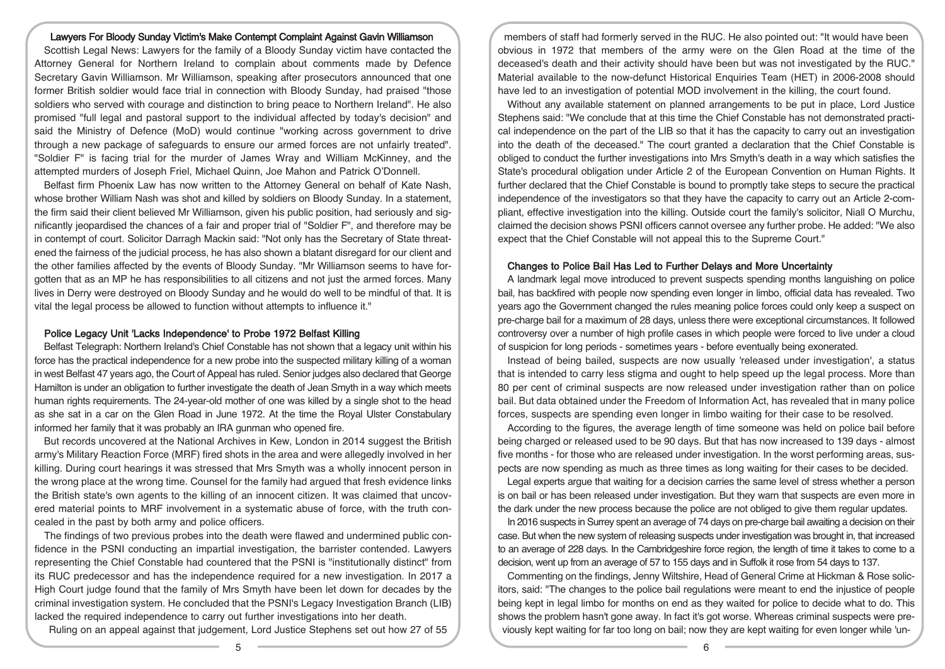#### Lawyers For Bloody Sunday Victim's Make Contempt Complaint Against Gavin Williamson

Scottish Legal News: Lawyers for the family of a Bloody Sunday victim have contacted the Attorney General for Northern Ireland to complain about comments made by Defence Secretary Gavin Williamson. Mr Williamson, speaking after prosecutors announced that one former British soldier would face trial in connection with Bloody Sunday, had praised "those soldiers who served with courage and distinction to bring peace to Northern Ireland". He also promised "full legal and pastoral support to the individual affected by today's decision" and said the Ministry of Defence (MoD) would continue "working across government to drive through a new package of safeguards to ensure our armed forces are not unfairly treated". "Soldier F" is facing trial for the murder of James Wray and William McKinney, and the attempted murders of Joseph Friel, Michael Quinn, Joe Mahon and Patrick O'Donnell.

Belfast firm Phoenix Law has now written to the Attorney General on behalf of Kate Nash, whose brother William Nash was shot and killed by soldiers on Bloody Sunday. In a statement, the firm said their client believed Mr Williamson, given his public position, had seriously and significantly jeopardised the chances of a fair and proper trial of "Soldier F", and therefore may be in contempt of court. Solicitor Darragh Mackin said: "Not only has the Secretary of State threatened the fairness of the judicial process, he has also shown a blatant disregard for our client and the other families affected by the events of Bloody Sunday. "Mr Williamson seems to have forgotten that as an MP he has responsibilities to all citizens and not just the armed forces. Many lives in Derry were destroyed on Bloody Sunday and he would do well to be mindful of that. It is vital the legal process be allowed to function without attempts to influence it."

#### Police Legacy Unit 'Lacks Independence' to Probe 1972 Belfast Killing

Belfast Telegraph: Northern Ireland's Chief Constable has not shown that a legacy unit within his force has the practical independence for a new probe into the suspected military killing of a woman in west Belfast 47 years ago, the Court of Appeal has ruled. Senior judges also declared that George Hamilton is under an obligation to further investigate the death of Jean Smyth in a way which meets human rights requirements. The 24-year-old mother of one was killed by a single shot to the head as she sat in a car on the Glen Road in June 1972. At the time the Royal Ulster Constabulary informed her family that it was probably an IRA gunman who opened fire.

But records uncovered at the National Archives in Kew, London in 2014 suggest the British army's Military Reaction Force (MRF) fired shots in the area and were allegedly involved in her killing. During court hearings it was stressed that Mrs Smyth was a wholly innocent person in the wrong place at the wrong time. Counsel for the family had argued that fresh evidence links the British state's own agents to the killing of an innocent citizen. It was claimed that uncovered material points to MRF involvement in a systematic abuse of force, with the truth concealed in the past by both army and police officers.

The findings of two previous probes into the death were flawed and undermined public confidence in the PSNI conducting an impartial investigation, the barrister contended. Lawyers representing the Chief Constable had countered that the PSNI is "institutionally distinct" from its RUC predecessor and has the independence required for a new investigation. In 2017 a High Court judge found that the family of Mrs Smyth have been let down for decades by the criminal investigation system. He concluded that the PSNI's Legacy Investigation Branch (LIB) lacked the required independence to carry out further investigations into her death.

Ruling on an appeal against that judgement, Lord Justice Stephens set out how 27 of 55

members of staff had formerly served in the RUC. He also pointed out: "It would have been obvious in 1972 that members of the army were on the Glen Road at the time of the deceased's death and their activity should have been but was not investigated by the RUC." Material available to the now-defunct Historical Enquiries Team (HET) in 2006-2008 should have led to an investigation of potential MOD involvement in the killing, the court found.

Without any available statement on planned arrangements to be put in place, Lord Justice Stephens said: "We conclude that at this time the Chief Constable has not demonstrated practical independence on the part of the LIB so that it has the capacity to carry out an investigation into the death of the deceased." The court granted a declaration that the Chief Constable is obliged to conduct the further investigations into Mrs Smyth's death in a way which satisfies the State's procedural obligation under Article 2 of the European Convention on Human Rights. It further declared that the Chief Constable is bound to promptly take steps to secure the practical independence of the investigators so that they have the capacity to carry out an Article 2-compliant, effective investigation into the killing. Outside court the family's solicitor, Niall O Murchu, claimed the decision shows PSNI officers cannot oversee any further probe. He added: "We also expect that the Chief Constable will not appeal this to the Supreme Court."

#### Changes to Police Bail Has Led to Further Delays and More Uncertainty

A landmark legal move introduced to prevent suspects spending months languishing on police bail, has backfired with people now spending even longer in limbo, official data has revealed. Two years ago the Government changed the rules meaning police forces could only keep a suspect on pre-charge bail for a maximum of 28 days, unless there were exceptional circumstances. It followed controversy over a number of high profile cases in which people were forced to live under a cloud of suspicion for long periods - sometimes years - before eventually being exonerated.

Instead of being bailed, suspects are now usually 'released under investigation', a status that is intended to carry less stigma and ought to help speed up the legal process. More than 80 per cent of criminal suspects are now released under investigation rather than on police bail. But data obtained under the Freedom of Information Act, has revealed that in many police forces, suspects are spending even longer in limbo waiting for their case to be resolved.

According to the figures, the average length of time someone was held on police bail before being charged or released used to be 90 days. But that has now increased to 139 days - almost five months - for those who are released under investigation. In the worst performing areas, suspects are now spending as much as three times as long waiting for their cases to be decided.

Legal experts argue that waiting for a decision carries the same level of stress whether a person is on bail or has been released under investigation. But they warn that suspects are even more in the dark under the new process because the police are not obliged to give them regular updates.

In 2016 suspects in Surrey spent an average of 74 days on pre-charge bail awaiting a decision on their case. But when the new system of releasing suspects under investigation was brought in, that increased to an average of 228 days. In the Cambridgeshire force region, the length of time it takes to come to a decision, went up from an average of 57 to 155 days and in Suffolk it rose from 54 days to 137.

Commenting on the findings, Jenny Wiltshire, Head of General Crime at Hickman & Rose solicitors, said: "The changes to the police bail regulations were meant to end the injustice of people being kept in legal limbo for months on end as they waited for police to decide what to do. This shows the problem hasn't gone away. In fact it's got worse. Whereas criminal suspects were previously kept waiting for far too long on bail; now they are kept waiting for even longer while 'un-

5 6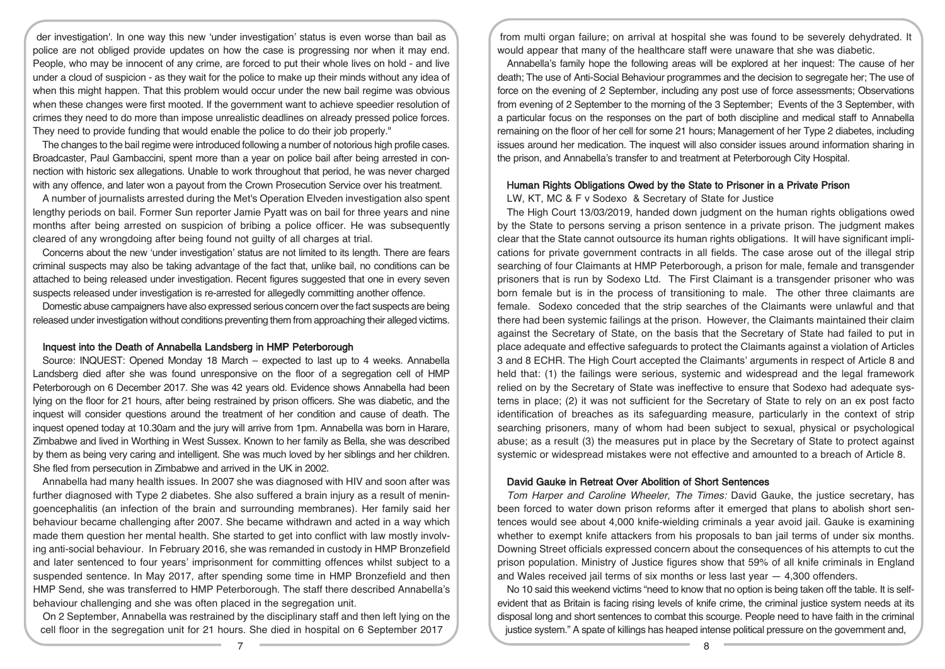der investigation'. In one way this new 'under investigation' status is even worse than bail as police are not obliged provide updates on how the case is progressing nor when it may end. People, who may be innocent of any crime, are forced to put their whole lives on hold - and live under a cloud of suspicion - as they wait for the police to make up their minds without any idea of when this might happen. That this problem would occur under the new bail regime was obvious when these changes were first mooted. If the government want to achieve speedier resolution of crimes they need to do more than impose unrealistic deadlines on already pressed police forces. They need to provide funding that would enable the police to do their job properly."

The changes to the bail regime were introduced following a number of notorious high profile cases. Broadcaster, Paul Gambaccini, spent more than a year on police bail after being arrested in connection with historic sex allegations. Unable to work throughout that period, he was never charged with any offence, and later won a payout from the Crown Prosecution Service over his treatment.

A number of journalists arrested during the Met's Operation Elveden investigation also spent lengthy periods on bail. Former Sun reporter Jamie Pyatt was on bail for three years and nine months after being arrested on suspicion of bribing a police officer. He was subsequently cleared of any wrongdoing after being found not guilty of all charges at trial.

Concerns about the new 'under investigation' status are not limited to its length. There are fears criminal suspects may also be taking advantage of the fact that, unlike bail, no conditions can be attached to being released under investigation. Recent figures suggested that one in every seven suspects released under investigation is re-arrested for allegedly committing another offence.

Domestic abuse campaigners have also expressed serious concern over the fact suspects are being released under investigation without conditions preventing them from approaching their alleged victims.

# Inquest into the Death of Annabella Landsberg in HMP Peterborough

Source: INQUEST: Opened Monday 18 March – expected to last up to 4 weeks. Annabella Landsberg died after she was found unresponsive on the floor of a segregation cell of HMP Peterborough on 6 December 2017. She was 42 years old. Evidence shows Annabella had been lying on the floor for 21 hours, after being restrained by prison officers. She was diabetic, and the inquest will consider questions around the treatment of her condition and cause of death. The inquest opened today at 10.30am and the jury will arrive from 1pm. Annabella was born in Harare, Zimbabwe and lived in Worthing in West Sussex. Known to her family as Bella, she was described by them as being very caring and intelligent. She was much loved by her siblings and her children. She fled from persecution in Zimbabwe and arrived in the UK in 2002.

Annabella had many health issues. In 2007 she was diagnosed with HIV and soon after was further diagnosed with Type 2 diabetes. She also suffered a brain injury as a result of meningoencephalitis (an infection of the brain and surrounding membranes). Her family said her behaviour became challenging after 2007. She became withdrawn and acted in a way which made them question her mental health. She started to get into conflict with law mostly involving anti-social behaviour. In February 2016, she was remanded in custody in HMP Bronzefield and later sentenced to four years' imprisonment for committing offences whilst subject to a suspended sentence. In May 2017, after spending some time in HMP Bronzefield and then HMP Send, she was transferred to HMP Peterborough. The staff there described Annabella's behaviour challenging and she was often placed in the segregation unit.

On 2 September, Annabella was restrained by the disciplinary staff and then left lying on the cell floor in the segregation unit for 21 hours. She died in hospital on 6 September 2017

from multi organ failure; on arrival at hospital she was found to be severely dehydrated. It would appear that many of the healthcare staff were unaware that she was diabetic.

Annabella's family hope the following areas will be explored at her inquest: The cause of her death; The use of Anti-Social Behaviour programmes and the decision to segregate her; The use of force on the evening of 2 September, including any post use of force assessments; Observations from evening of 2 September to the morning of the 3 September; Events of the 3 September, with a particular focus on the responses on the part of both discipline and medical staff to Annabella remaining on the floor of her cell for some 21 hours; Management of her Type 2 diabetes, including issues around her medication. The inquest will also consider issues around information sharing in the prison, and Annabella's transfer to and treatment at Peterborough City Hospital.

### Human Rights Obligations Owed by the State to Prisoner in a Private Prison

LW, KT, MC & F v Sodexo & Secretary of State for Justice

The High Court 13/03/2019, handed down judgment on the human rights obligations owed by the State to persons serving a prison sentence in a private prison. The judgment makes clear that the State cannot outsource its human rights obligations. It will have significant implications for private government contracts in all fields. The case arose out of the illegal strip searching of four Claimants at HMP Peterborough, a prison for male, female and transgender prisoners that is run by Sodexo Ltd. The First Claimant is a transgender prisoner who was born female but is in the process of transitioning to male. The other three claimants are female. Sodexo conceded that the strip searches of the Claimants were unlawful and that there had been systemic failings at the prison. However, the Claimants maintained their claim against the Secretary of State, on the basis that the Secretary of State had failed to put in place adequate and effective safeguards to protect the Claimants against a violation of Articles 3 and 8 ECHR. The High Court accepted the Claimants' arguments in respect of Article 8 and held that: (1) the failings were serious, systemic and widespread and the legal framework relied on by the Secretary of State was ineffective to ensure that Sodexo had adequate systems in place; (2) it was not sufficient for the Secretary of State to rely on an ex post facto identification of breaches as its safeguarding measure, particularly in the context of strip searching prisoners, many of whom had been subject to sexual, physical or psychological abuse; as a result (3) the measures put in place by the Secretary of State to protect against systemic or widespread mistakes were not effective and amounted to a breach of Article 8.

## David Gauke in Retreat Over Abolition of Short Sentences

Tom Harper and Caroline Wheeler, The Times: David Gauke, the justice secretary, has been forced to water down prison reforms after it emerged that plans to abolish short sentences would see about 4,000 knife-wielding criminals a year avoid jail. Gauke is examining whether to exempt knife attackers from his proposals to ban jail terms of under six months. Downing Street officials expressed concern about the consequences of his attempts to cut the prison population. Ministry of Justice figures show that 59% of all knife criminals in England and Wales received jail terms of six months or less last year  $-4.300$  offenders.

No 10 said this weekend victims "need to know that no option is being taken off the table. It is selfevident that as Britain is facing rising levels of knife crime, the criminal justice system needs at its disposal long and short sentences to combat this scourge. People need to have faith in the criminal justice system." A spate of killings has heaped intense political pressure on the government and,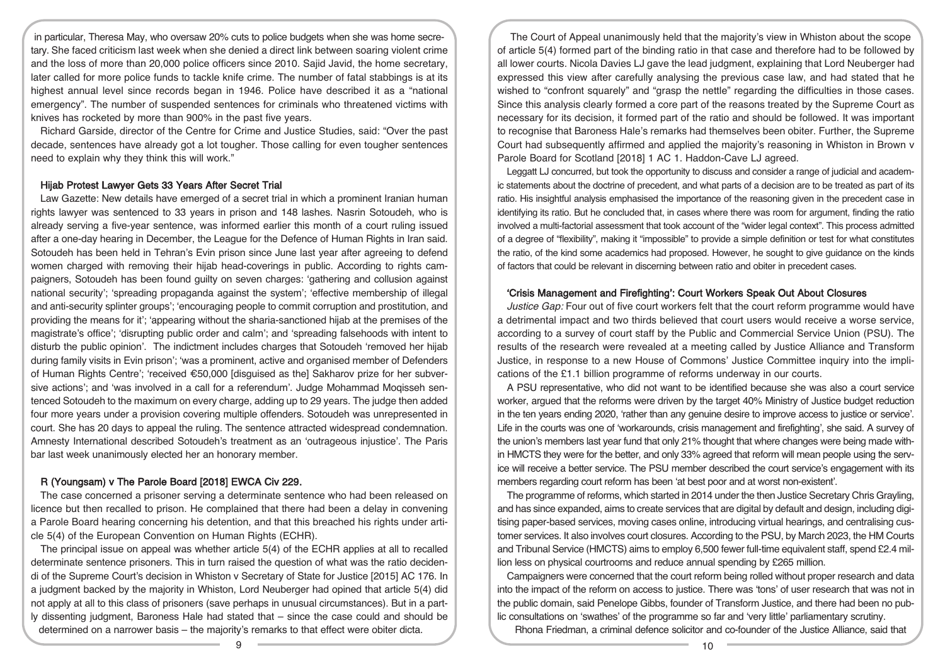in particular, Theresa May, who oversaw 20% cuts to police budgets when she was home secretary. She faced criticism last week when she denied a direct link between soaring violent crime and the loss of more than 20,000 police officers since 2010. Sajid Javid, the home secretary, later called for more police funds to tackle knife crime. The number of fatal stabbings is at its highest annual level since records began in 1946. Police have described it as a "national emergency". The number of suspended sentences for criminals who threatened victims with knives has rocketed by more than 900% in the past five years.

Richard Garside, director of the Centre for Crime and Justice Studies, said: "Over the past decade, sentences have already got a lot tougher. Those calling for even tougher sentences need to explain why they think this will work."

### Hijab Protest Lawyer Gets 33 Years After Secret Trial

Law Gazette: New details have emerged of a secret trial in which a prominent Iranian human rights lawyer was sentenced to 33 years in prison and 148 lashes. Nasrin Sotoudeh, who is already serving a five-year sentence, was informed earlier this month of a court ruling issued after a one-day hearing in December, the League for the Defence of Human Rights in Iran said. Sotoudeh has been held in Tehran's Evin prison since June last year after agreeing to defend women charged with removing their hijab head-coverings in public. According to rights campaigners, Sotoudeh has been found guilty on seven charges: 'gathering and collusion against national security'; 'spreading propaganda against the system'; 'effective membership of illegal and anti-security splinter groups'; 'encouraging people to commit corruption and prostitution, and providing the means for it'; 'appearing without the sharia-sanctioned hijab at the premises of the magistrate's office'; 'disrupting public order and calm'; and 'spreading falsehoods with intent to disturb the public opinion'. The indictment includes charges that Sotoudeh 'removed her hijab during family visits in Evin prison'; 'was a prominent, active and organised member of Defenders of Human Rights Centre'; 'received €50,000 [disguised as the] Sakharov prize for her subversive actions'; and 'was involved in a call for a referendum'. Judge Mohammad Moqisseh sentenced Sotoudeh to the maximum on every charge, adding up to 29 years. The judge then added four more years under a provision covering multiple offenders. Sotoudeh was unrepresented in court. She has 20 days to appeal the ruling. The sentence attracted widespread condemnation. Amnesty International described Sotoudeh's treatment as an 'outrageous injustice'. The Paris bar last week unanimously elected her an honorary member.

## R (Youngsam) v The Parole Board [2018] EWCA Civ 229.

The case concerned a prisoner serving a determinate sentence who had been released on licence but then recalled to prison. He complained that there had been a delay in convening a Parole Board hearing concerning his detention, and that this breached his rights under article 5(4) of the European Convention on Human Rights (ECHR).

The principal issue on appeal was whether article 5(4) of the ECHR applies at all to recalled determinate sentence prisoners. This in turn raised the question of what was the ratio decidendi of the Supreme Court's decision in Whiston v Secretary of State for Justice [2015] AC 176. In a judgment backed by the majority in Whiston, Lord Neuberger had opined that article 5(4) did not apply at all to this class of prisoners (save perhaps in unusual circumstances). But in a partly dissenting judgment, Baroness Hale had stated that – since the case could and should be determined on a narrower basis – the majority's remarks to that effect were obiter dicta.

The Court of Appeal unanimously held that the majority's view in Whiston about the scope of article 5(4) formed part of the binding ratio in that case and therefore had to be followed by all lower courts. Nicola Davies LJ gave the lead judgment, explaining that Lord Neuberger had expressed this view after carefully analysing the previous case law, and had stated that he wished to "confront squarely" and "grasp the nettle" regarding the difficulties in those cases. Since this analysis clearly formed a core part of the reasons treated by the Supreme Court as necessary for its decision, it formed part of the ratio and should be followed. It was important to recognise that Baroness Hale's remarks had themselves been obiter. Further, the Supreme Court had subsequently affirmed and applied the majority's reasoning in Whiston in Brown v Parole Board for Scotland [2018] 1 AC 1. Haddon-Cave LJ agreed.

Leggatt LJ concurred, but took the opportunity to discuss and consider a range of judicial and academic statements about the doctrine of precedent, and what parts of a decision are to be treated as part of its ratio. His insightful analysis emphasised the importance of the reasoning given in the precedent case in identifying its ratio. But he concluded that, in cases where there was room for argument, finding the ratio involved a multi-factorial assessment that took account of the "wider legal context". This process admitted of a degree of "flexibility", making it "impossible" to provide a simple definition or test for what constitutes the ratio, of the kind some academics had proposed. However, he sought to give guidance on the kinds of factors that could be relevant in discerning between ratio and obiter in precedent cases.

## 'Crisis Management and Firefighting': Court Workers Speak Out About Closures

Justice Gap: Four out of five court workers felt that the court reform programme would have a detrimental impact and two thirds believed that court users would receive a worse service, according to a survey of court staff by the Public and Commercial Service Union (PSU). The results of the research were revealed at a meeting called by Justice Alliance and Transform Justice, in response to a new House of Commons' Justice Committee inquiry into the implications of the £1.1 billion programme of reforms underway in our courts.

A PSU representative, who did not want to be identified because she was also a court service worker, argued that the reforms were driven by the target 40% Ministry of Justice budget reduction in the ten years ending 2020, 'rather than any genuine desire to improve access to justice or service'. Life in the courts was one of 'workarounds, crisis management and firefighting', she said. A survey of the union's members last year fund that only 21% thought that where changes were being made within HMCTS they were for the better, and only 33% agreed that reform will mean people using the service will receive a better service. The PSU member described the court service's engagement with its members regarding court reform has been 'at best poor and at worst non-existent'.

The programme of reforms, which started in 2014 under the then Justice Secretary Chris Grayling, and has since expanded, aims to create services that are digital by default and design, including digitising paper-based services, moving cases online, introducing virtual hearings, and centralising customer services. It also involves court closures. According to the PSU, by March 2023, the HM Courts and Tribunal Service (HMCTS) aims to employ 6,500 fewer full-time equivalent staff, spend £2.4 million less on physical courtrooms and reduce annual spending by £265 million.

Campaigners were concerned that the court reform being rolled without proper research and data into the impact of the reform on access to justice. There was 'tons' of user research that was not in the public domain, said Penelope Gibbs, founder of Transform Justice, and there had been no public consultations on 'swathes' of the programme so far and 'very little' parliamentary scrutiny.

Rhona Friedman, a criminal defence solicitor and co-founder of the Justice Alliance, said that